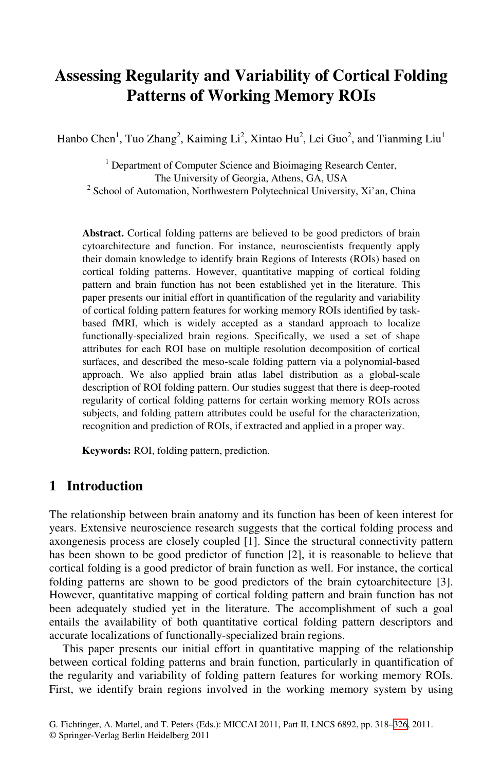# **Assessing Regularity and Variability of Cortical Folding Patterns of Working Memory ROIs**

Hanbo Chen<sup>1</sup>, Tuo Zhang<sup>2</sup>, Kaiming Li<sup>2</sup>, Xintao Hu<sup>2</sup>, Lei Guo<sup>2</sup>, and Tianming Liu<sup>1</sup>

<sup>1</sup> Department of Computer Science and Bioimaging Research Center, The University of Georgia, Athens, GA, USA<br><sup>2</sup> School of Automation, Northwestern Polytechnical University, Xi'an, China

**Abstract.** Cortical folding patterns are believed to be good predictors of brain cytoarchitecture and function. For instance, neuroscientists frequently apply their domain knowledge to identify brain Regions of Interests (ROIs) based on cortical folding patterns. However, quantitative mapping of cortical folding pattern and brain function has not been established yet in the literature. This paper presents our initial effort in quantification of the regularity and variability of cortical folding pattern features for working memory ROIs identified by taskbased fMRI, which is widely accepted as a standard approach to localize functionally-specialized brain regions. Specifically, we used a set of shape attributes for each ROI base on multiple resolution decomposition of cortical surfaces, and described the meso-scale folding pattern via a polynomial-based approach. We also applied brain atlas label distribution as a global-scale description of ROI folding pattern. Our studies suggest that there is deep-rooted regularity of cortical folding patterns for certain working memory ROIs across subjects, and folding pattern attributes could be useful for the characterization, recognition and prediction of ROIs, if extracted and applied in a proper way.

**Keywords:** ROI, folding pattern, prediction.

# **1 Introduction**

The relationship between brain anatomy and its function has been of keen interest for years. Extensive neuroscience research suggests that the cortical folding process and axongenesis process are closely coupled [1]. Since the structural connectivity pattern has been shown to be good predictor of function [2], it is reasonable to believe that cortical folding is a good predictor of brain function as well. For instance, the cortical folding patterns are shown to be good predictors of the brain cytoarchitecture [3]. However, quantitative mapping of cortical folding pattern and brain function has not been adequately studied yet in the literature. The accomplishment of such a goal entails the availability of both quantitative cortical folding pattern descriptors and accurate localizations of functionally-specialized brain regions.

This paper presents our initial effort in quantitative mapping of the relationship between cortical folding patterns and brain function, particularly in quantification of the regularity and variability of folding pattern features for working memory ROIs. First, we identify brain regions involved in the working memory system by using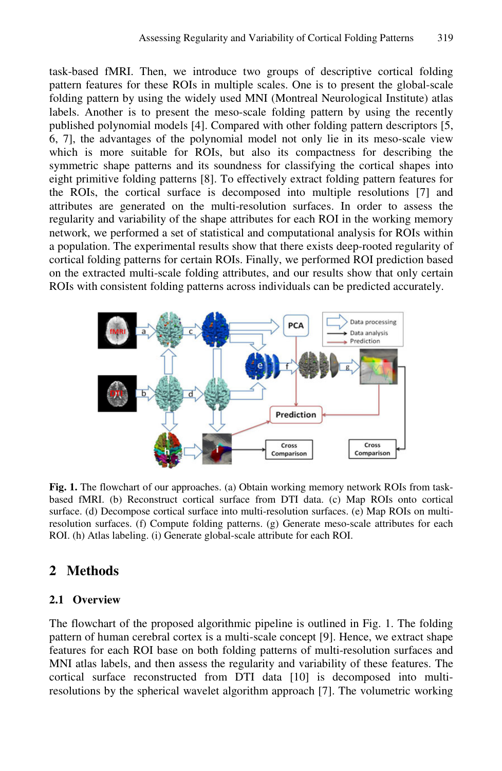task-based fMRI. Then, we introduce two groups of descriptive cortical folding pattern features for these ROIs in multiple scales. One is to present the global-scale folding pattern by using the widely used MNI (Montreal Neurological Institute) atlas labels. Another is to present the meso-scale folding pattern by using the recently published polynomial models [4]. Compared with other folding pattern descriptors [5, 6, 7], the advantages of the polynomial model not only lie in its meso-scale view which is more suitable for ROIs, but also its compactness for describing the symmetric shape patterns and its soundness for classifying the cortical shapes into eight primitive folding patterns [8]. To effectively extract folding pattern features for the ROIs, the cortical surface is decomposed into multiple resolutions [7] and attributes are generated on the multi-resolution surfaces. In order to assess the regularity and variability of the shape attributes for each ROI in the working memory network, we performed a set of statistical and computational analysis for ROIs within a population. The experimental results show that there exists deep-rooted regularity of cortical folding patterns for certain ROIs. Finally, we performed ROI prediction based on the extracted multi-scale folding attributes, and our results show that only certain ROIs with consistent folding patterns across individuals can be predicted accurately.



**Fig. 1.** The flowchart of our approaches. (a) Obtain working memory network ROIs from taskbased fMRI. (b) Reconstruct cortical surface from DTI data. (c) Map ROIs onto cortical surface. (d) Decompose cortical surface into multi-resolution surfaces. (e) Map ROIs on multiresolution surfaces. (f) Compute folding patterns. (g) Generate meso-scale attributes for each ROI. (h) Atlas labeling. (i) Generate global-scale attribute for each ROI.

# **2 Methods**

### **2.1 Overview**

The flowchart of the proposed algorithmic pipeline is outlined in Fig. 1. The folding pattern of human cerebral cortex is a multi-scale concept [9]. Hence, we extract shape features for each ROI base on both folding patterns of multi-resolution surfaces and MNI atlas labels, and then assess the regularity and variability of these features. The cortical surface reconstructed from DTI data [10] is decomposed into multiresolutions by the spherical wavelet algorithm approach [7]. The volumetric working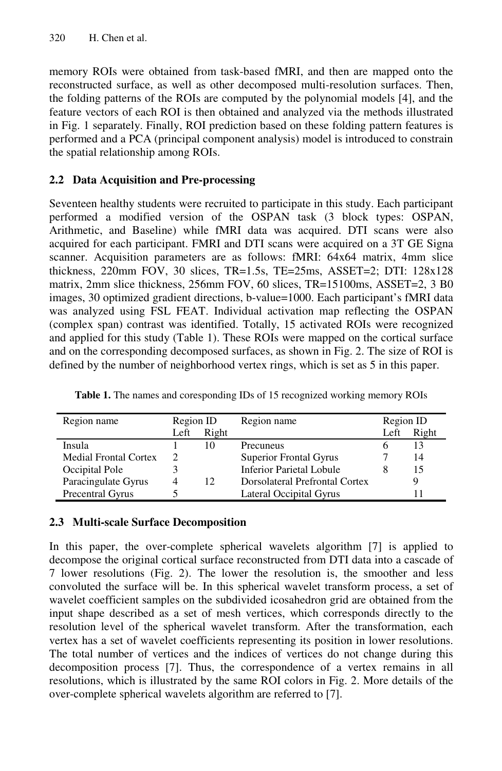memory ROIs were obtained from task-based fMRI, and then are mapped onto the reconstructed surface, as well as other decomposed multi-resolution surfaces. Then, the folding patterns of the ROIs are computed by the polynomial models [4], and the feature vectors of each ROI is then obtained and analyzed via the methods illustrated in Fig. 1 separately. Finally, ROI prediction based on these folding pattern features is performed and a PCA (principal component analysis) model is introduced to constrain the spatial relationship among ROIs.

# **2.2 Data Acquisition and Pre-processing**

Seventeen healthy students were recruited to participate in this study. Each participant performed a modified version of the OSPAN task (3 block types: OSPAN, Arithmetic, and Baseline) while fMRI data was acquired. DTI scans were also acquired for each participant. FMRI and DTI scans were acquired on a 3T GE Signa scanner. Acquisition parameters are as follows: fMRI: 64x64 matrix, 4mm slice thickness, 220mm FOV, 30 slices, TR=1.5s, TE=25ms, ASSET=2; DTI: 128x128 matrix, 2mm slice thickness, 256mm FOV, 60 slices, TR=15100ms, ASSET=2, 3 B0 images, 30 optimized gradient directions, b-value=1000. Each participant's fMRI data was analyzed using FSL FEAT. Individual activation map reflecting the OSPAN (complex span) contrast was identified. Totally, 15 activated ROIs were recognized and applied for this study (Table 1). These ROIs were mapped on the cortical surface and on the corresponding decomposed surfaces, as shown in Fig. 2. The size of ROI is defined by the number of neighborhood vertex rings, which is set as 5 in this paper.

| Region name                  | Region ID |                 | Region name                    | Region ID |       |
|------------------------------|-----------|-----------------|--------------------------------|-----------|-------|
|                              | Left      | Right           |                                | Left      | Right |
| Insula                       |           | 10              | Precuneus                      |           |       |
| <b>Medial Frontal Cortex</b> |           |                 | <b>Superior Frontal Gyrus</b>  |           | 14    |
| Occipital Pole               |           |                 | Inferior Parietal Lobule       |           | 15    |
| Paracingulate Gyrus          | 4         | 12 <sub>1</sub> | Dorsolateral Prefrontal Cortex |           |       |
| Precentral Gyrus             |           |                 | Lateral Occipital Gyrus        |           |       |

**Table 1.** The names and coresponding IDs of 15 recognized working memory ROIs

### **2.3 Multi-scale Surface Decomposition**

In this paper, the over-complete spherical wavelets algorithm [7] is applied to decompose the original cortical surface reconstructed from DTI data into a cascade of 7 lower resolutions (Fig. 2). The lower the resolution is, the smoother and less convoluted the surface will be. In this spherical wavelet transform process, a set of wavelet coefficient samples on the subdivided icosahedron grid are obtained from the input shape described as a set of mesh vertices, which corresponds directly to the resolution level of the spherical wavelet transform. After the transformation, each vertex has a set of wavelet coefficients representing its position in lower resolutions. The total number of vertices and the indices of vertices do not change during this decomposition process [7]. Thus, the correspondence of a vertex remains in all resolutions, which is illustrated by the same ROI colors in Fig. 2. More details of the over-complete spherical wavelets algorithm are referred to [7].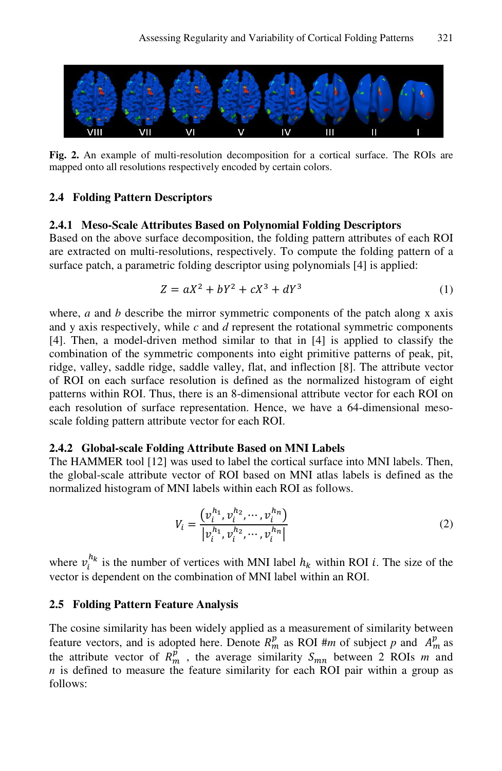

**Fig. 2.** An example of multi-resolution decomposition for a cortical surface. The ROIs are mapped onto all resolutions respectively encoded by certain colors.

#### **2.4 Folding Pattern Descriptors**

#### **2.4.1 Meso-Scale Attributes Based on Polynomial Folding Descriptors**

Based on the above surface decomposition, the folding pattern attributes of each ROI are extracted on multi-resolutions, respectively. To compute the folding pattern of a surface patch, a parametric folding descriptor using polynomials [4] is applied:

$$
Z = aX^2 + bY^2 + cX^3 + dY^3 \tag{1}
$$

where, *a* and *b* describe the mirror symmetric components of the patch along x axis and y axis respectively, while *c* and *d* represent the rotational symmetric components [4]. Then, a model-driven method similar to that in [4] is applied to classify the combination of the symmetric components into eight primitive patterns of peak, pit, ridge, valley, saddle ridge, saddle valley, flat, and inflection [8]. The attribute vector of ROI on each surface resolution is defined as the normalized histogram of eight patterns within ROI. Thus, there is an 8-dimensional attribute vector for each ROI on each resolution of surface representation. Hence, we have a 64-dimensional mesoscale folding pattern attribute vector for each ROI.

#### **2.4.2 Global-scale Folding Attribute Based on MNI Labels**

The HAMMER tool [12] was used to label the cortical surface into MNI labels. Then, the global-scale attribute vector of ROI based on MNI atlas labels is defined as the normalized histogram of MNI labels within each ROI as follows.

$$
V_i = \frac{\left(v_i^{h_1}, v_i^{h_2}, \cdots, v_i^{h_n}\right)}{\left|v_i^{h_1}, v_i^{h_2}, \cdots, v_i^{h_n}\right|} \tag{2}
$$

where  $v_i^{h_k}$  is the number of vertices with MNI label  $h_k$  within ROI *i*. The size of the vector is dependent on the combination of MNI label within an ROI.

#### **2.5 Folding Pattern Feature Analysis**

The cosine similarity has been widely applied as a measurement of similarity between feature vectors, and is adopted here. Denote  $R_m^p$  as ROI #*m* of subject *p* and  $A_m^p$  as the attribute vector of  $R_m^{\hat{p}}$ , the average similarity  $S_{mn}$  between 2 ROIs *m* and *n* is defined to measure the feature similarity for each ROI pair within a group as follows: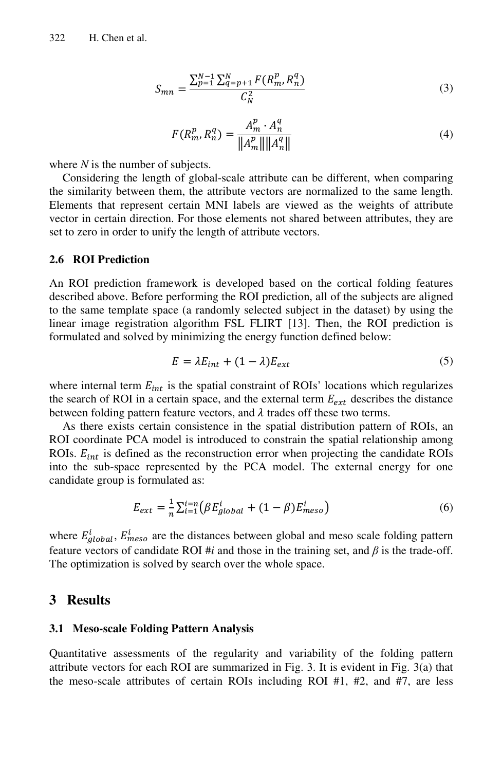$$
S_{mn} = \frac{\sum_{p=1}^{N-1} \sum_{q=p+1}^{N} F(R_m^p, R_n^q)}{C_N^2}
$$
 (3)

$$
F(R_m^p, R_n^q) = \frac{A_m^p \cdot A_n^q}{\|A_m^p\| \|A_n^q\|}
$$
\n(4)

where *N* is the number of subjects.

Considering the length of global-scale attribute can be different, when comparing the similarity between them, the attribute vectors are normalized to the same length. Elements that represent certain MNI labels are viewed as the weights of attribute vector in certain direction. For those elements not shared between attributes, they are set to zero in order to unify the length of attribute vectors.

#### **2.6 ROI Prediction**

An ROI prediction framework is developed based on the cortical folding features described above. Before performing the ROI prediction, all of the subjects are aligned to the same template space (a randomly selected subject in the dataset) by using the linear image registration algorithm FSL FLIRT [13]. Then, the ROI prediction is formulated and solved by minimizing the energy function defined below:

$$
E = \lambda E_{int} + (1 - \lambda) E_{ext}
$$
 (5)

where internal term  $E_{int}$  is the spatial constraint of ROIs' locations which regularizes the search of ROI in a certain space, and the external term  $E_{ext}$  describes the distance between folding pattern feature vectors, and  $\lambda$  trades off these two terms.

As there exists certain consistence in the spatial distribution pattern of ROIs, an ROI coordinate PCA model is introduced to constrain the spatial relationship among ROIs.  $E_{int}$  is defined as the reconstruction error when projecting the candidate ROIs into the sub-space represented by the PCA model. The external energy for one candidate group is formulated as:

$$
E_{ext} = \frac{1}{n} \sum_{i=1}^{i=n} (\beta E_{global}^i + (1 - \beta) E_{meso}^i)
$$
 (6)

where  $E_{global}^{i}$ ,  $E_{meso}^{i}$  are the distances between global and meso scale folding pattern feature vectors of candidate ROI #*i* and those in the training set, and  $\beta$  is the trade-off. The optimization is solved by search over the whole space.

### **3 Results**

#### **3.1 Meso-scale Folding Pattern Analysis**

Quantitative assessments of the regularity and variability of the folding pattern attribute vectors for each ROI are summarized in Fig. 3. It is evident in Fig. 3(a) that the meso-scale attributes of certain ROIs including ROI #1, #2, and #7, are less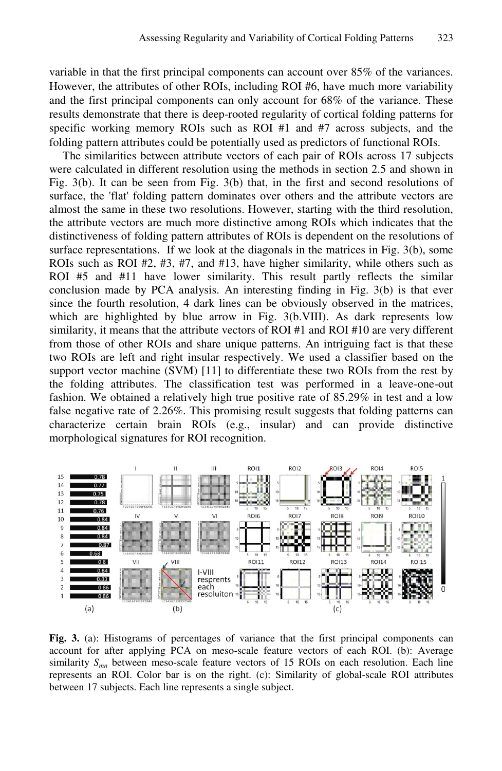variable in that the first principal components can account over 85% of the variances. However, the attributes of other ROIs, including ROI #6, have much more variability and the first principal components can only account for 68% of the variance. These results demonstrate that there is deep-rooted regularity of cortical folding patterns for specific working memory ROIs such as ROI #1 and #7 across subjects, and the folding pattern attributes could be potentially used as predictors of functional ROIs.

The similarities between attribute vectors of each pair of ROIs across 17 subjects were calculated in different resolution using the methods in section 2.5 and shown in Fig. 3(b). It can be seen from Fig. 3(b) that, in the first and second resolutions of surface, the 'flat' folding pattern dominates over others and the attribute vectors are almost the same in these two resolutions. However, starting with the third resolution, the attribute vectors are much more distinctive among ROIs which indicates that the distinctiveness of folding pattern attributes of ROIs is dependent on the resolutions of surface representations. If we look at the diagonals in the matrices in Fig. 3(b), some ROIs such as ROI #2, #3, #7, and #13, have higher similarity, while others such as ROI #5 and #11 have lower similarity. This result partly reflects the similar conclusion made by PCA analysis. An interesting finding in Fig. 3(b) is that ever since the fourth resolution, 4 dark lines can be obviously observed in the matrices, which are highlighted by blue arrow in Fig. 3(b.VIII). As dark represents low similarity, it means that the attribute vectors of ROI #1 and ROI #10 are very different from those of other ROIs and share unique patterns. An intriguing fact is that these two ROIs are left and right insular respectively. We used a classifier based on the support vector machine (SVM) [11] to differentiate these two ROIs from the rest by the folding attributes. The classification test was performed in a leave-one-out fashion. We obtained a relatively high true positive rate of 85.29% in test and a low false negative rate of 2.26%. This promising result suggests that folding patterns can characterize certain brain ROIs (e.g., insular) and can provide distinctive morphological signatures for ROI recognition.



**Fig. 3.** (a): Histograms of percentages of variance that the first principal components can account for after applying PCA on meso-scale feature vectors of each ROI. (b): Average similarity  $S_{mn}$  between meso-scale feature vectors of 15 ROIs on each resolution. Each line represents an ROI. Color bar is on the right. (c): Similarity of global-scale ROI attributes between 17 subjects. Each line represents a single subject.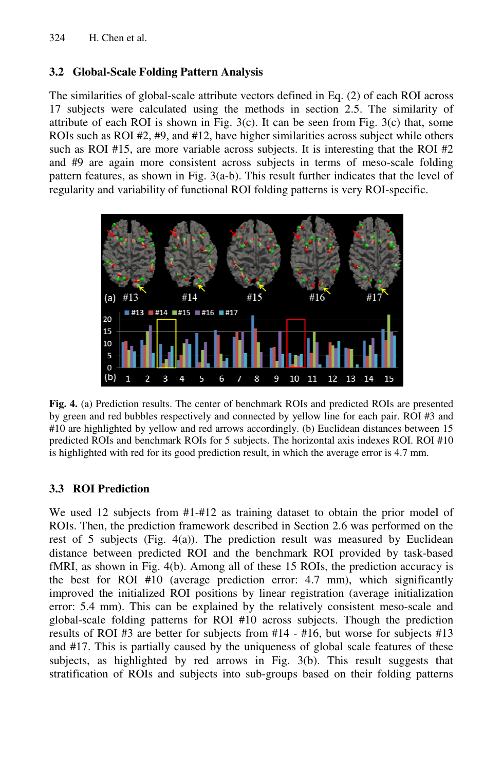# **3.2 Global-Scale Folding g Pattern Analysis**

The similarities of global-scale attribute vectors defined in Eq. (2) of each ROI across 17 subjects were calculated using the methods in section 2.5. The similarity of attribute of each ROI is shown in Fig.  $3(c)$ . It can be seen from Fig.  $3(c)$  that, some ROIs such as ROI #2, #9, and #12, have higher similarities across subject while others such as ROI #15, are more variable across subjects. It is interesting that the ROI #2 and #9 are again more consistent across subjects in terms of meso-scale folding pattern features, as shown in Fig. 3(a-b). This result further indicates that the level of regularity and variability of functional ROI folding patterns is very ROI-specific.



Fig. 4. (a) Prediction results. The center of benchmark ROIs and predicted ROIs are presented by green and red bubbles respectively and connected by yellow line for each pair. ROI #3 and #10 are highlighted by yellow and red arrows accordingly. (b) Euclidean distances between 15 predicted ROIs and benchmark k ROIs for 5 subjects. The horizontal axis indexes ROI. ROI #10 is highlighted with red for its g good prediction result, in which the average error is 4.7 mm.

# **3.3 ROI Prediction**

We used 12 subjects from #1-#12 as training dataset to obtain the prior model of ROIs. Then, the prediction framework described in Section 2.6 was performed on the rest of 5 subjects (Fig. 4(a)). The prediction result was measured by Euclidean distance between predicted ROI and the benchmark ROI provided by task-based fMRI, as shown in Fig. 4(b). Among all of these 15 ROIs, the prediction accuracy is the best for ROI #10 (average prediction error: 4.7 mm), which significantly improved the initialized ROI positions by linear registration (average initialization error: 5.4 mm). This can b be explained by the relatively consistent meso-scale and global-scale folding patterns for ROI #10 across subjects. Though the prediction results of ROI #3 are better for subjects from #14 - #16, but worse for subjects #13 and #17. This is partially caused by the uniqueness of global scale features of these subjects, as highlighted by red arrows in Fig. 3(b). This result suggests that stratification of ROIs and subjects into sub-groups based on their folding patterns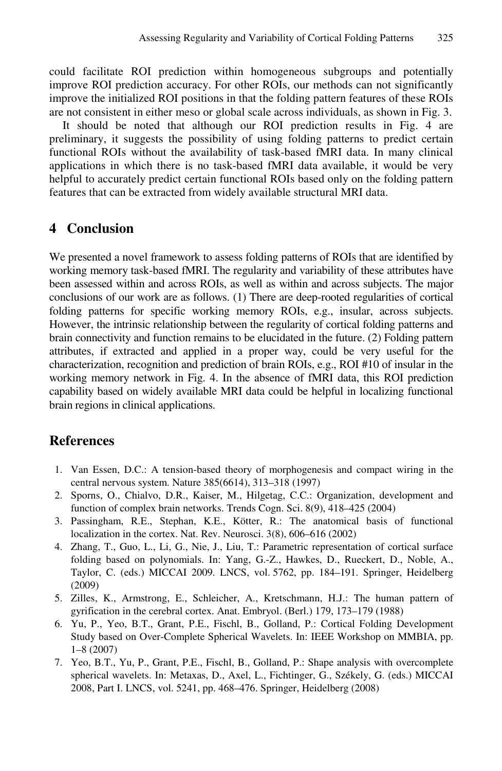could facilitate ROI prediction within homogeneous subgroups and potentially improve ROI prediction accuracy. For other ROIs, our methods can not significantly improve the initialized ROI positions in that the folding pattern features of these ROIs are not consistent in either meso or global scale across individuals, as shown in Fig. 3.

It should be noted that although our ROI prediction results in Fig. 4 are preliminary, it suggests the possibility of using folding patterns to predict certain functional ROIs without the availability of task-based fMRI data. In many clinical applications in which there is no task-based fMRI data available, it would be very helpful to accurately predict certain functional ROIs based only on the folding pattern features that can be extracted from widely available structural MRI data.

# **4 Conclusion**

We presented a novel framework to assess folding patterns of ROIs that are identified by working memory task-based fMRI. The regularity and variability of these attributes have been assessed within and across ROIs, as well as within and across subjects. The major conclusions of our work are as follows. (1) There are deep-rooted regularities of cortical folding patterns for specific working memory ROIs, e.g., insular, across subjects. However, the intrinsic relationship between the regularity of cortical folding patterns and brain connectivity and function remains to be elucidated in the future. (2) Folding pattern attributes, if extracted and applied in a proper way, could be very useful for the characterization, recognition and prediction of brain ROIs, e.g., ROI #10 of insular in the working memory network in Fig. 4. In the absence of fMRI data, this ROI prediction capability based on widely available MRI data could be helpful in localizing functional brain regions in clinical applications.

### **References**

- 1. Van Essen, D.C.: A tension-based theory of morphogenesis and compact wiring in the central nervous system. Nature 385(6614), 313–318 (1997)
- 2. Sporns, O., Chialvo, D.R., Kaiser, M., Hilgetag, C.C.: Organization, development and function of complex brain networks. Trends Cogn. Sci. 8(9), 418–425 (2004)
- 3. Passingham, R.E., Stephan, K.E., Kötter, R.: The anatomical basis of functional localization in the cortex. Nat. Rev. Neurosci. 3(8), 606–616 (2002)
- 4. Zhang, T., Guo, L., Li, G., Nie, J., Liu, T.: Parametric representation of cortical surface folding based on polynomials. In: Yang, G.-Z., Hawkes, D., Rueckert, D., Noble, A., Taylor, C. (eds.) MICCAI 2009. LNCS, vol. 5762, pp. 184–191. Springer, Heidelberg (2009)
- 5. Zilles, K., Armstrong, E., Schleicher, A., Kretschmann, H.J.: The human pattern of gyrification in the cerebral cortex. Anat. Embryol. (Berl.) 179, 173–179 (1988)
- 6. Yu, P., Yeo, B.T., Grant, P.E., Fischl, B., Golland, P.: Cortical Folding Development Study based on Over-Complete Spherical Wavelets. In: IEEE Workshop on MMBIA, pp. 1–8 (2007)
- 7. Yeo, B.T., Yu, P., Grant, P.E., Fischl, B., Golland, P.: Shape analysis with overcomplete spherical wavelets. In: Metaxas, D., Axel, L., Fichtinger, G., Székely, G. (eds.) MICCAI 2008, Part I. LNCS, vol. 5241, pp. 468–476. Springer, Heidelberg (2008)